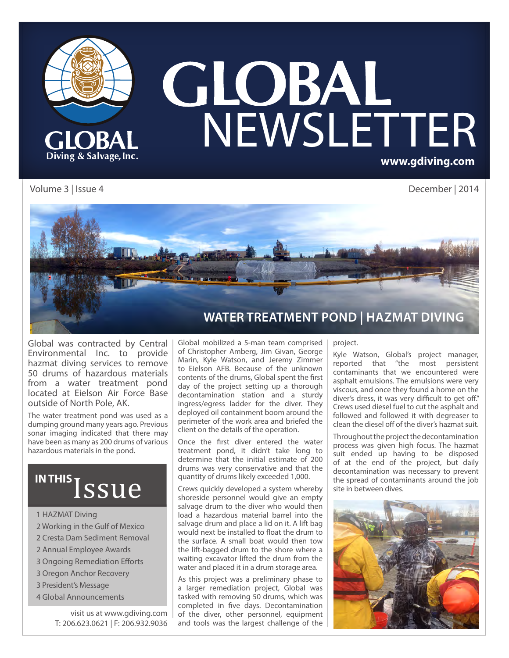

# **GLOBAL**<br>NEWSLETTER **www.gdiving.com**

Volume 3 | Issue 4 December | 2014



Global was contracted by Central Environmental Inc. to provide hazmat diving services to remove 50 drums of hazardous materials from a water treatment pond located at Eielson Air Force Base outside of North Pole, AK.

The water treatment pond was used as a dumping ground many years ago. Previous sonar imaging indicated that there may have been as many as 200 drums of various hazardous materials in the pond.

# IN THIS ISSUE

#### 1 HAZMAT Diving

- 2 Working in the Gulf of Mexico
- 2 Cresta Dam Sediment Removal
- 2 Annual Employee Awards
- 3 Ongoing Remediation Efforts
- 3 Oregon Anchor Recovery
- 3 President's Message
- 4 Global Announcements

visit us at www.gdiving.com T: 206.623.0621 | F: 206.932.9036

Global mobilized a 5-man team comprised of Christopher Amberg, Jim Givan, George Marin, Kyle Watson, and Jeremy Zimmer to Eielson AFB. Because of the unknown contents of the drums, Global spent the first day of the project setting up a thorough decontamination station and a sturdy ingress/egress ladder for the diver. They deployed oil containment boom around the perimeter of the work area and briefed the client on the details of the operation.

Once the first diver entered the water treatment pond, it didn't take long to determine that the initial estimate of 200 drums was very conservative and that the quantity of drums likely exceeded 1,000.

Crews quickly developed a system whereby shoreside personnel would give an empty salvage drum to the diver who would then load a hazardous material barrel into the salvage drum and place a lid on it. A lift bag would next be installed to float the drum to the surface. A small boat would then tow the lift-bagged drum to the shore where a waiting excavator lifted the drum from the water and placed it in a drum storage area.

As this project was a preliminary phase to a larger remediation project, Global was tasked with removing 50 drums, which was completed in five days. Decontamination of the diver, other personnel, equipment and tools was the largest challenge of the

#### project.

Kyle Watson, Global's project manager, reported that "the most persistent contaminants that we encountered were asphalt emulsions. The emulsions were very viscous, and once they found a home on the diver's dress, it was very difficult to get off." Crews used diesel fuel to cut the asphalt and followed and followed it with degreaser to clean the diesel off of the diver's hazmat suit.

Throughout the project the decontamination process was given high focus. The hazmat suit ended up having to be disposed of at the end of the project, but daily decontamination was necessary to prevent the spread of contaminants around the job site in between dives.

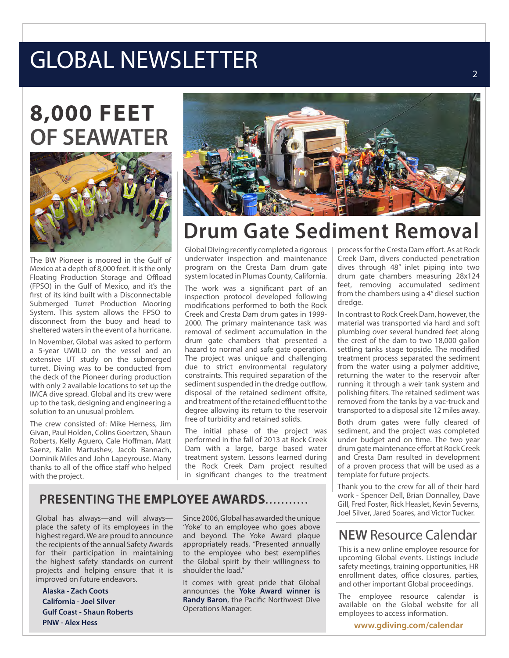# GLOBAL NEWSLETTER

# **8,000 FEET OF SEAWATER**



The BW Pioneer is moored in the Gulf of Mexico at a depth of 8,000 feet. It is the only Floating Production Storage and Offload (FPSO) in the Gulf of Mexico, and it's the first of its kind built with a Disconnectable Submerged Turret Production Mooring System. This system allows the FPSO to disconnect from the buoy and head to sheltered waters in the event of a hurricane.

In November, Global was asked to perform a 5-year UWILD on the vessel and an extensive UT study on the submerged turret. Diving was to be conducted from the deck of the Pioneer during production with only 2 available locations to set up the IMCA dive spread. Global and its crew were up to the task, designing and engineering a solution to an unusual problem.

The crew consisted of: Mike Herness, Jim Givan, Paul Holden, Colins Goertzen, Shaun Roberts, Kelly Aguero, Cale Hoffman, Matt Saenz, Kalin Martushev, Jacob Bannach, Dominik Miles and John Lapeyrouse. Many thanks to all of the office staff who helped with the project.



## **Drum Gate Sediment Removal**

Global Diving recently completed a rigorous underwater inspection and maintenance program on the Cresta Dam drum gate system located in Plumas County, California.

The work was a significant part of an inspection protocol developed following modifications performed to both the Rock Creek and Cresta Dam drum gates in 1999- 2000. The primary maintenance task was removal of sediment accumulation in the drum gate chambers that presented a hazard to normal and safe gate operation. The project was unique and challenging due to strict environmental regulatory constraints. This required separation of the sediment suspended in the dredge outflow, disposal of the retained sediment offsite, and treatment of the retained effluent to the degree allowing its return to the reservoir free of turbidity and retained solids.

The initial phase of the project was performed in the fall of 2013 at Rock Creek Dam with a large, barge based water treatment system. Lessons learned during the Rock Creek Dam project resulted in significant changes to the treatment

#### **PRESENTING THE EMPLOYEE AWARDS**...........

Global has always-and will alwaysplace the safety of its employees in the highest regard. We are proud to announce the recipients of the annual Safety Awards for their participation in maintaining the highest safety standards on current projects and helping ensure that it is improved on future endeavors.

**Alaska - Zach Coots California - Joel Silver Gulf Coast - Shaun Roberts PNW - Alex Hess**

Since 2006, Global has awarded the unique 'Yoke' to an employee who goes above and beyond. The Yoke Award plaque appropriately reads, "Presented annually to the employee who best exemplifies the Global spirit by their willingness to shoulder the load."

It comes with great pride that Global announces the **Yoke Award winner is Randy Baron**, the Pacific Northwest Dive Operations Manager.

process for the Cresta Dam effort. As at Rock Creek Dam, divers conducted penetration dives through 48" inlet piping into two drum gate chambers measuring 28x124 feet, removing accumulated sediment from the chambers using a 4" diesel suction dredge.

In contrast to Rock Creek Dam, however, the material was transported via hard and soft plumbing over several hundred feet along the crest of the dam to two 18,000 gallon settling tanks stage topside. The modified treatment process separated the sediment from the water using a polymer additive, returning the water to the reservoir after running it through a weir tank system and polishing filters. The retained sediment was removed from the tanks by a vac-truck and transported to a disposal site 12 miles away.

Both drum gates were fully cleared of sediment, and the project was completed under budget and on time. The two year drum gate maintenance effort at Rock Creek and Cresta Dam resulted in development of a proven process that will be used as a template for future projects.

Thank you to the crew for all of their hard work - Spencer Dell, Brian Donnalley, Dave Gill, Fred Foster, Rick Heaslet, Kevin Severns,<br>Joel Silver, Jared Soares, and Victor Tucker.

#### **NEW** Resource Calendar

This is a new online employee resource for upcoming Global events. Listings include safety meetings, training opportunities, HR enrollment dates, office closures, parties, and other important Global proceedings.

The employee resource calendar is available on the Global website for all employees to access information.

**www.gdiving.com/calendar**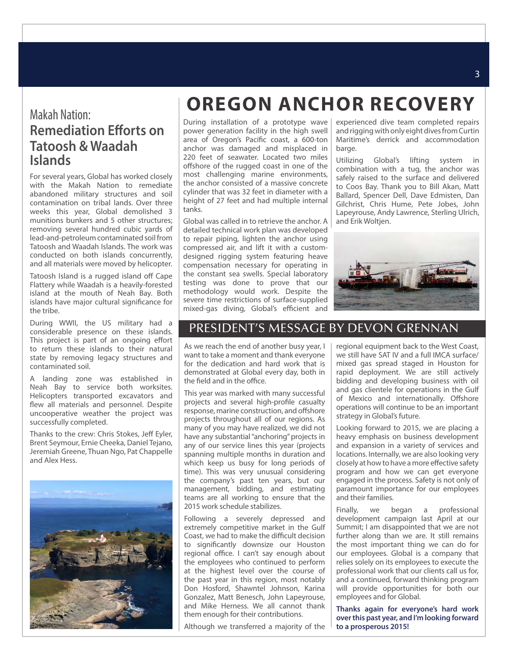#### Makah Nation: **Remediation Efforts on Tatoosh & Waadah Islands**

For several years, Global has worked closely with the Makah Nation to remediate abandoned military structures and soil contamination on tribal lands. Over three weeks this year, Global demolished 3 munitions bunkers and 5 other structures; removing several hundred cubic yards of lead-and-petroleum contaminated soil from Tatoosh and Waadah Islands. The work was conducted on both islands concurrently, and all materials were moved by helicopter.

Tatoosh Island is a rugged island off Cape Flattery while Waadah is a heavily-forested island at the mouth of Neah Bay. Both islands have major cultural significance for the tribe.

During WWII, the US military had a considerable presence on these islands. This project is part of an ongoing effort to return these islands to their natural state by removing legacy structures and contaminated soil.

A landing zone was established in Neah Bay to service both worksites. Helicopters transported excavators and flew all materials and personnel. Despite uncooperative weather the project was successfully completed.

Thanks to the crew: Chris Stokes, Jeff Eyler, Brent Seymour, Ernie Cheeka, Daniel Tejano, Jeremiah Greene, Thuan Ngo, Pat Chappelle and Alex Hess.



### **OREGON ANCHOR RECOVERY**

During installation of a prototype wave power generation facility in the high swell area of Oregon's Pacific coast, a 600-ton anchor was damaged and misplaced in 220 feet of seawater. Located two miles offshore of the rugged coast in one of the most challenging marine environments, the anchor consisted of a massive concrete cylinder that was 32 feet in diameter with a height of 27 feet and had multiple internal tanks.

Global was called in to retrieve the anchor. A detailed technical work plan was developed to repair piping, lighten the anchor using compressed air, and lift it with a customdesigned rigging system featuring heave compensation necessary for operating in the constant sea swells. Special laboratory testing was done to prove that our methodology would work. Despite the severe time restrictions of surface-supplied mixed-gas diving, Global's efficient and

experienced dive team completed repairs and rigging with only eight dives from Curtin Maritime's derrick and accommodation barge.

Utilizing Global's lifting system in combination with a tug, the anchor was safely raised to the surface and delivered to Coos Bay. Thank you to Bill Akan, Matt Ballard, Spencer Dell, Dave Edmisten, Dan Gilchrist, Chris Hume, Pete Jobes, John Lapeyrouse, Andy Lawrence, Sterling Ulrich, and Erik Woltjen.



#### PRESIDENT'S MESSAGE BY DEVON GRENNAN

As we reach the end of another busy year, I want to take a moment and thank everyone for the dedication and hard work that is demonstrated at Global every day, both in the field and in the office.

This year was marked with many successful projects and several high-profile casualty response, marine construction, and offshore projects throughout all of our regions. As many of you may have realized, we did not have any substantial "anchoring" projects in any of our service lines this year (projects spanning multiple months in duration and which keep us busy for long periods of time). This was very unusual considering the company's past ten years, but our management, bidding, and estimating teams are all working to ensure that the 2015 work schedule stabilizes.

Following a severely depressed and extremely competitive market in the Gulf Coast, we had to make the difficult decision to significantly downsize our Houston regional office. I can't say enough about the employees who continued to perform at the highest level over the course of the past year in this region, most notably Don Hosford, Shawntel Johnson, Karina Gonzalez, Matt Benesch, John Lapeyrouse, and Mike Herness. We all cannot thank them enough for their contributions.

Although we transferred a majority of the

regional equipment back to the West Coast, we still have SAT IV and a full IMCA surface/ mixed gas spread staged in Houston for rapid deployment. We are still actively bidding and developing business with oil and gas clientele for operations in the Gulf of Mexico and internationally. Offshore operations will continue to be an important strategy in Global's future.

Looking forward to 2015, we are placing a heavy emphasis on business development and expansion in a variety of services and locations. Internally, we are also looking very closely at how to have a more effective safety program and how we can get everyone engaged in the process. Safety is not only of paramount importance for our employees and their families.

Finally, we began a professional development campaign last April at our Summit; I am disappointed that we are not further along than we are. It still remains the most important thing we can do for our employees. Global is a company that relies solely on its employees to execute the professional work that our clients call us for, and a continued, forward thinking program will provide opportunities for both our employees and for Global.

**Thanks again for everyone's hard work over this past year, and I'm looking forward to a prosperous 2015!**